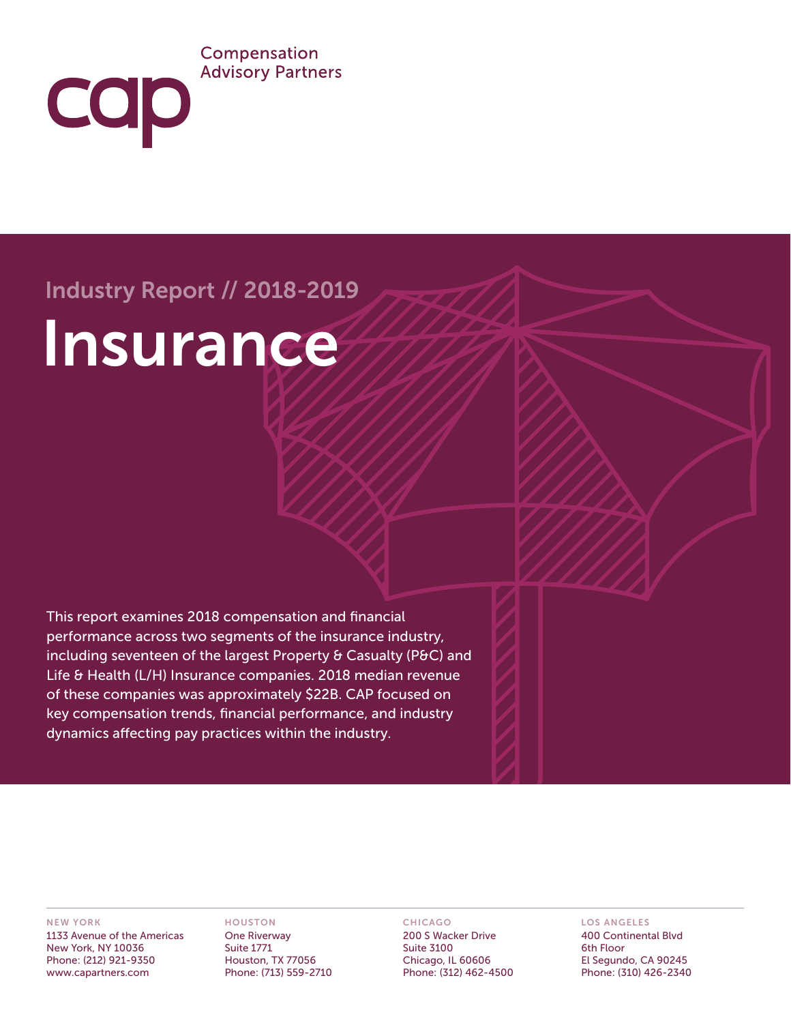### Compensation **Advisory Partners**

# Industry Report // 2018-2019

**COD** 

# Insurance

This report examines 2018 compensation and financial performance across two segments of the insurance industry, including seventeen of the largest Property & Casualty (P&C) and Life & Health (L/H) Insurance companies. 2018 median revenue of these companies was approximately \$22B. CAP focused on key compensation trends, financial performance, and industry dynamics affecting pay practices within the industry.

#### NEW YORK

1133 Avenue of the Americas New York, NY 10036 Phone: (212) 921-9350 www.capartners.com

#### HOUSTON

One Riverway Suite 1771 Houston, TX 77056 Phone: (713) 559-2710

#### CHICAGO

200 S Wacker Drive Suite 3100 Chicago, IL 60606 Phone: (312) 462-4500

#### LOS ANGELES

400 Continental Blvd 6th Floor El Segundo, CA 90245 Phone: (310) 426-2340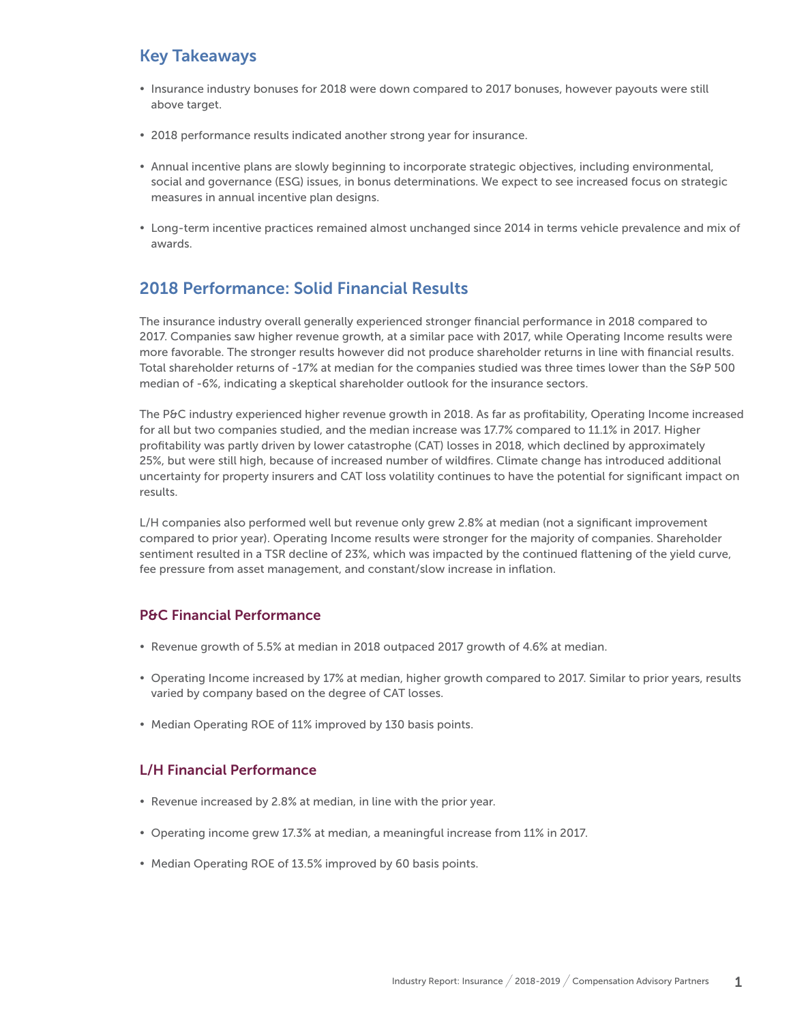# Key Takeaways

- Insurance industry bonuses for 2018 were down compared to 2017 bonuses, however payouts were still above target.
- 2018 performance results indicated another strong year for insurance.
- y Annual incentive plans are slowly beginning to incorporate strategic objectives, including environmental, social and governance (ESG) issues, in bonus determinations. We expect to see increased focus on strategic measures in annual incentive plan designs.
- y Long-term incentive practices remained almost unchanged since 2014 in terms vehicle prevalence and mix of awards.

# 2018 Performance: Solid Financial Results

The insurance industry overall generally experienced stronger financial performance in 2018 compared to 2017. Companies saw higher revenue growth, at a similar pace with 2017, while Operating Income results were more favorable. The stronger results however did not produce shareholder returns in line with financial results. Total shareholder returns of -17% at median for the companies studied was three times lower than the S&P 500 median of -6%, indicating a skeptical shareholder outlook for the insurance sectors.

The P&C industry experienced higher revenue growth in 2018. As far as profitability, Operating Income increased for all but two companies studied, and the median increase was 17.7% compared to 11.1% in 2017. Higher profitability was partly driven by lower catastrophe (CAT) losses in 2018, which declined by approximately 25%, but were still high, because of increased number of wildfires. Climate change has introduced additional uncertainty for property insurers and CAT loss volatility continues to have the potential for significant impact on results.

L/H companies also performed well but revenue only grew 2.8% at median (not a significant improvement compared to prior year). Operating Income results were stronger for the majority of companies. Shareholder sentiment resulted in a TSR decline of 23%, which was impacted by the continued flattening of the yield curve, fee pressure from asset management, and constant/slow increase in inflation.

#### P&C Financial Performance

- Revenue growth of 5.5% at median in 2018 outpaced 2017 growth of 4.6% at median.
- Operating Income increased by 17% at median, higher growth compared to 2017. Similar to prior years, results varied by company based on the degree of CAT losses.
- Median Operating ROE of 11% improved by 130 basis points.

#### L/H Financial Performance

- Revenue increased by 2.8% at median, in line with the prior year.
- Operating income grew 17.3% at median, a meaningful increase from 11% in 2017.
- Median Operating ROE of 13.5% improved by 60 basis points.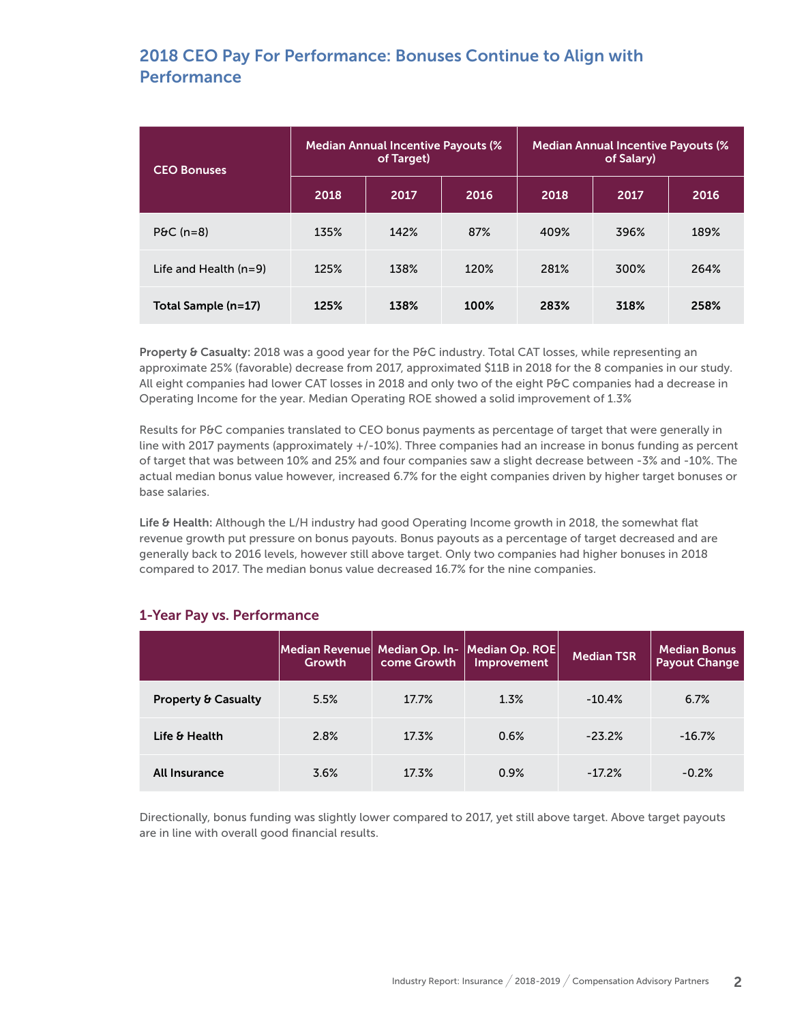# 2018 CEO Pay For Performance: Bonuses Continue to Align with **Performance**

| <b>CEO Bonuses</b>      | <b>Median Annual Incentive Payouts (%</b><br>of Target) |      |      | <b>Median Annual Incentive Payouts (%)</b><br>of Salary) |      |      |
|-------------------------|---------------------------------------------------------|------|------|----------------------------------------------------------|------|------|
|                         | 2018                                                    | 2017 | 2016 | 2018                                                     | 2017 | 2016 |
| $P\theta C$ (n=8)       | 135%                                                    | 142% | 87%  | 409%                                                     | 396% | 189% |
| Life and Health $(n=9)$ | 125%                                                    | 138% | 120% | 281%                                                     | 300% | 264% |
| Total Sample (n=17)     | 125%                                                    | 138% | 100% | 283%                                                     | 318% | 258% |

Property & Casualty: 2018 was a good year for the P&C industry. Total CAT losses, while representing an approximate 25% (favorable) decrease from 2017, approximated \$11B in 2018 for the 8 companies in our study. All eight companies had lower CAT losses in 2018 and only two of the eight P&C companies had a decrease in Operating Income for the year. Median Operating ROE showed a solid improvement of 1.3%

Results for P&C companies translated to CEO bonus payments as percentage of target that were generally in line with 2017 payments (approximately +/-10%). Three companies had an increase in bonus funding as percent of target that was between 10% and 25% and four companies saw a slight decrease between -3% and -10%. The actual median bonus value however, increased 6.7% for the eight companies driven by higher target bonuses or base salaries.

Life & Health: Although the L/H industry had good Operating Income growth in 2018, the somewhat flat revenue growth put pressure on bonus payouts. Bonus payouts as a percentage of target decreased and are generally back to 2016 levels, however still above target. Only two companies had higher bonuses in 2018 compared to 2017. The median bonus value decreased 16.7% for the nine companies.

|                                | Median Revenue Median Op. In-<br>Growth | come Growth | Median Op. ROE<br>Improvement | <b>Median TSR</b> | <b>Median Bonus</b><br><b>Payout Change</b> |
|--------------------------------|-----------------------------------------|-------------|-------------------------------|-------------------|---------------------------------------------|
| <b>Property &amp; Casualty</b> | 5.5%                                    | 17.7%       | 1.3%                          | $-10.4%$          | 6.7%                                        |
| Life & Health                  | 2.8%                                    | 17.3%       | 0.6%                          | $-23.2%$          | $-16.7%$                                    |
| All Insurance                  | 3.6%                                    | 17.3%       | 0.9%                          | $-17.2%$          | $-0.2%$                                     |

#### 1-Year Pay vs. Performance

Directionally, bonus funding was slightly lower compared to 2017, yet still above target. Above target payouts are in line with overall good financial results.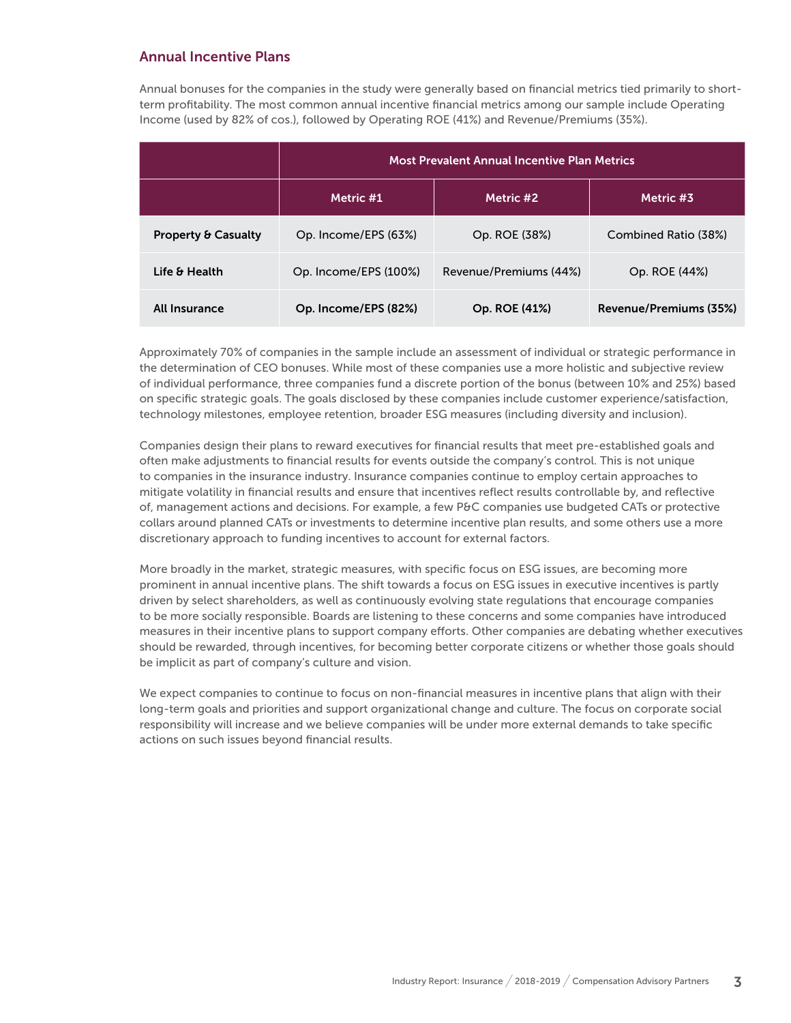#### Annual Incentive Plans

Annual bonuses for the companies in the study were generally based on financial metrics tied primarily to shortterm profitability. The most common annual incentive financial metrics among our sample include Operating Income (used by 82% of cos.), followed by Operating ROE (41%) and Revenue/Premiums (35%).

|                                | <b>Most Prevalent Annual Incentive Plan Metrics</b> |                        |                        |  |
|--------------------------------|-----------------------------------------------------|------------------------|------------------------|--|
|                                | Metric #1                                           | Metric #2              | Metric #3              |  |
| <b>Property &amp; Casualty</b> | Op. Income/EPS (63%)                                | Op. ROE (38%)          | Combined Ratio (38%)   |  |
| Life & Health                  | Op. Income/EPS (100%)                               | Revenue/Premiums (44%) | Op. ROE (44%)          |  |
| All Insurance                  | Op. Income/EPS (82%)                                | Op. ROE (41%)          | Revenue/Premiums (35%) |  |

Approximately 70% of companies in the sample include an assessment of individual or strategic performance in the determination of CEO bonuses. While most of these companies use a more holistic and subjective review of individual performance, three companies fund a discrete portion of the bonus (between 10% and 25%) based on specific strategic goals. The goals disclosed by these companies include customer experience/satisfaction, technology milestones, employee retention, broader ESG measures (including diversity and inclusion).

Companies design their plans to reward executives for financial results that meet pre-established goals and often make adjustments to financial results for events outside the company's control. This is not unique to companies in the insurance industry. Insurance companies continue to employ certain approaches to mitigate volatility in financial results and ensure that incentives reflect results controllable by, and reflective of, management actions and decisions. For example, a few P&C companies use budgeted CATs or protective collars around planned CATs or investments to determine incentive plan results, and some others use a more discretionary approach to funding incentives to account for external factors.

More broadly in the market, strategic measures, with specific focus on ESG issues, are becoming more prominent in annual incentive plans. The shift towards a focus on ESG issues in executive incentives is partly driven by select shareholders, as well as continuously evolving state regulations that encourage companies to be more socially responsible. Boards are listening to these concerns and some companies have introduced measures in their incentive plans to support company efforts. Other companies are debating whether executives should be rewarded, through incentives, for becoming better corporate citizens or whether those goals should be implicit as part of company's culture and vision.

We expect companies to continue to focus on non-financial measures in incentive plans that align with their long-term goals and priorities and support organizational change and culture. The focus on corporate social responsibility will increase and we believe companies will be under more external demands to take specific actions on such issues beyond financial results.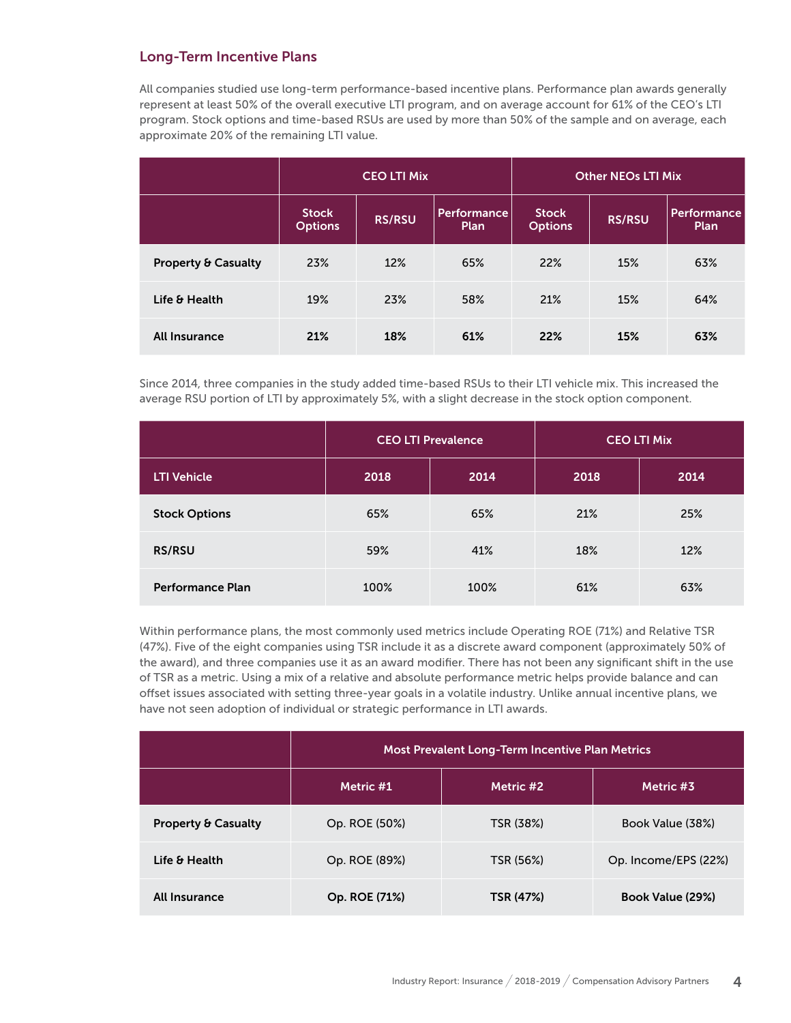#### Long-Term Incentive Plans

All companies studied use long-term performance-based incentive plans. Performance plan awards generally represent at least 50% of the overall executive LTI program, and on average account for 61% of the CEO's LTI program. Stock options and time-based RSUs are used by more than 50% of the sample and on average, each approximate 20% of the remaining LTI value.

|                                | <b>CEO LTI Mix</b>             |               |                                   | <b>Other NEOs LTI Mix</b>      |               |                     |
|--------------------------------|--------------------------------|---------------|-----------------------------------|--------------------------------|---------------|---------------------|
|                                | <b>Stock</b><br><b>Options</b> | <b>RS/RSU</b> | <b>Performance</b><br><b>Plan</b> | <b>Stock</b><br><b>Options</b> | <b>RS/RSU</b> | Performance<br>Plan |
| <b>Property &amp; Casualty</b> | 23%                            | 12%           | 65%                               | 22%                            | 15%           | 63%                 |
| Life & Health                  | 19%                            | 23%           | 58%                               | 21%                            | 15%           | 64%                 |
| <b>All Insurance</b>           | 21%                            | 18%           | 61%                               | 22%                            | 15%           | 63%                 |

Since 2014, three companies in the study added time-based RSUs to their LTI vehicle mix. This increased the average RSU portion of LTI by approximately 5%, with a slight decrease in the stock option component.

|                         | <b>CEO LTI Prevalence</b> |      | <b>CEO LTI Mix</b> |      |
|-------------------------|---------------------------|------|--------------------|------|
| <b>LTI Vehicle</b>      | 2018                      | 2014 | 2018               | 2014 |
| <b>Stock Options</b>    | 65%                       | 65%  | 21%                | 25%  |
| <b>RS/RSU</b>           | 59%                       | 41%  | 18%                | 12%  |
| <b>Performance Plan</b> | 100%                      | 100% | 61%                | 63%  |

Within performance plans, the most commonly used metrics include Operating ROE (71%) and Relative TSR (47%). Five of the eight companies using TSR include it as a discrete award component (approximately 50% of the award), and three companies use it as an award modifier. There has not been any significant shift in the use of TSR as a metric. Using a mix of a relative and absolute performance metric helps provide balance and can offset issues associated with setting three-year goals in a volatile industry. Unlike annual incentive plans, we have not seen adoption of individual or strategic performance in LTI awards.

|                                | <b>Most Prevalent Long-Term Incentive Plan Metrics</b> |           |                         |  |  |
|--------------------------------|--------------------------------------------------------|-----------|-------------------------|--|--|
|                                | Metric #1                                              | Metric #2 | Metric #3               |  |  |
| <b>Property &amp; Casualty</b> | Op. ROE (50%)                                          | TSR (38%) | Book Value (38%)        |  |  |
| Life & Health                  | Op. ROE (89%)                                          | TSR (56%) | Op. Income/EPS (22%)    |  |  |
| <b>All Insurance</b>           | Op. ROE (71%)                                          | TSR (47%) | <b>Book Value (29%)</b> |  |  |